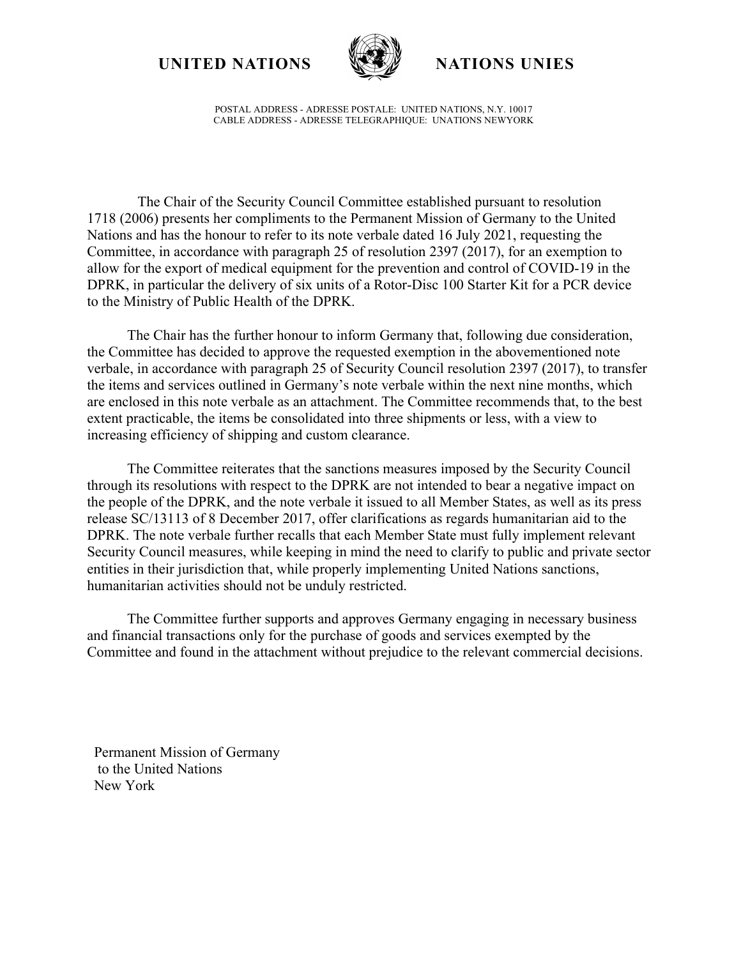**UNITED NATIONS NATIONS UNIES**



POSTAL ADDRESS - ADRESSE POSTALE: UNITED NATIONS, N.Y. 10017 CABLE ADDRESS - ADRESSE TELEGRAPHIQUE: UNATIONS NEWYORK

The Chair of the Security Council Committee established pursuant to resolution 1718 (2006) presents her compliments to the Permanent Mission of Germany to the United Nations and has the honour to refer to its note verbale dated 16 July 2021, requesting the Committee, in accordance with paragraph 25 of resolution 2397 (2017), for an exemption to allow for the export of medical equipment for the prevention and control of COVID-19 in the DPRK, in particular the delivery of six units of a Rotor-Disc 100 Starter Kit for a PCR device to the Ministry of Public Health of the DPRK.

The Chair has the further honour to inform Germany that, following due consideration, the Committee has decided to approve the requested exemption in the abovementioned note verbale, in accordance with paragraph 25 of Security Council resolution 2397 (2017), to transfer the items and services outlined in Germany's note verbale within the next nine months, which are enclosed in this note verbale as an attachment. The Committee recommends that, to the best extent practicable, the items be consolidated into three shipments or less, with a view to increasing efficiency of shipping and custom clearance.

The Committee reiterates that the sanctions measures imposed by the Security Council through its resolutions with respect to the DPRK are not intended to bear a negative impact on the people of the DPRK, and the note verbale it issued to all Member States, as well as its press release SC/13113 of 8 December 2017, offer clarifications as regards humanitarian aid to the DPRK. The note verbale further recalls that each Member State must fully implement relevant Security Council measures, while keeping in mind the need to clarify to public and private sector entities in their jurisdiction that, while properly implementing United Nations sanctions, humanitarian activities should not be unduly restricted.

The Committee further supports and approves Germany engaging in necessary business and financial transactions only for the purchase of goods and services exempted by the Committee and found in the attachment without prejudice to the relevant commercial decisions.

Permanent Mission of Germany to the United Nations New York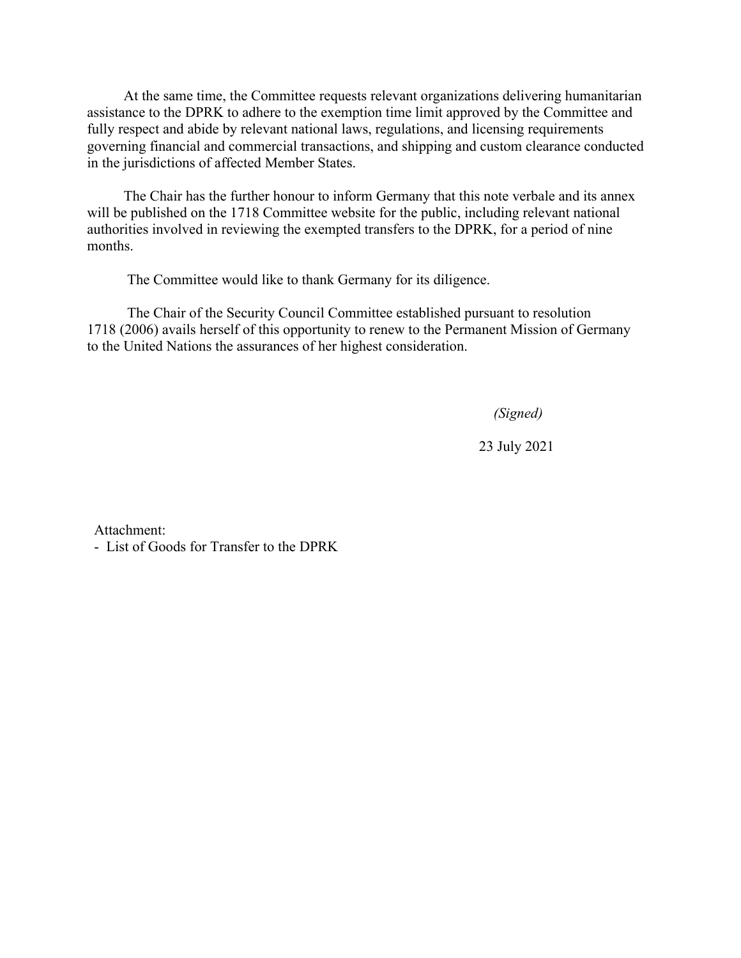At the same time, the Committee requests relevant organizations delivering humanitarian assistance to the DPRK to adhere to the exemption time limit approved by the Committee and fully respect and abide by relevant national laws, regulations, and licensing requirements governing financial and commercial transactions, and shipping and custom clearance conducted in the jurisdictions of affected Member States.

The Chair has the further honour to inform Germany that this note verbale and its annex will be published on the 1718 Committee website for the public, including relevant national authorities involved in reviewing the exempted transfers to the DPRK, for a period of nine months.

The Committee would like to thank Germany for its diligence.

The Chair of the Security Council Committee established pursuant to resolution 1718 (2006) avails herself of this opportunity to renew to the Permanent Mission of Germany to the United Nations the assurances of her highest consideration.

 *(Signed)*

23 July 2021

Attachment:

- List of Goods for Transfer to the DPRK